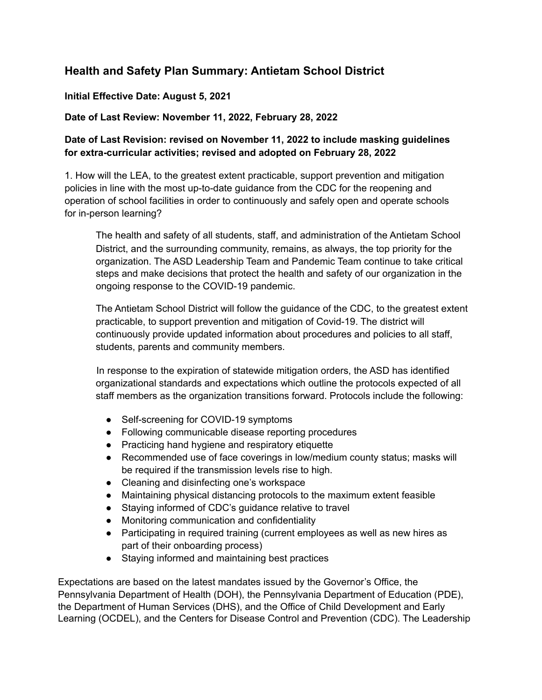# **Health and Safety Plan Summary: Antietam School District**

#### **Initial Effective Date: August 5, 2021**

## **Date of Last Review: November 11, 2022, February 28, 2022**

## **Date of Last Revision: revised on November 11, 2022 to include masking guidelines for extra-curricular activities; revised and adopted on February 28, 2022**

1. How will the LEA, to the greatest extent practicable, support prevention and mitigation policies in line with the most up-to-date guidance from the CDC for the reopening and operation of school facilities in order to continuously and safely open and operate schools for in-person learning?

The health and safety of all students, staff, and administration of the Antietam School District, and the surrounding community, remains, as always, the top priority for the organization. The ASD Leadership Team and Pandemic Team continue to take critical steps and make decisions that protect the health and safety of our organization in the ongoing response to the COVID-19 pandemic.

The Antietam School District will follow the guidance of the CDC, to the greatest extent practicable, to support prevention and mitigation of Covid-19. The district will continuously provide updated information about procedures and policies to all staff, students, parents and community members.

In response to the expiration of statewide mitigation orders, the ASD has identified organizational standards and expectations which outline the protocols expected of all staff members as the organization transitions forward. Protocols include the following:

- Self-screening for COVID-19 symptoms
- Following communicable disease reporting procedures
- Practicing hand hygiene and respiratory etiquette
- Recommended use of face coverings in low/medium county status; masks will be required if the transmission levels rise to high.
- Cleaning and disinfecting one's workspace
- Maintaining physical distancing protocols to the maximum extent feasible
- Staying informed of CDC's guidance relative to travel
- Monitoring communication and confidentiality
- Participating in required training (current employees as well as new hires as part of their onboarding process)
- Staying informed and maintaining best practices

Expectations are based on the latest mandates issued by the Governor's Office, the Pennsylvania Department of Health (DOH), the Pennsylvania Department of Education (PDE), the Department of Human Services (DHS), and the Office of Child Development and Early Learning (OCDEL), and the Centers for Disease Control and Prevention (CDC). The Leadership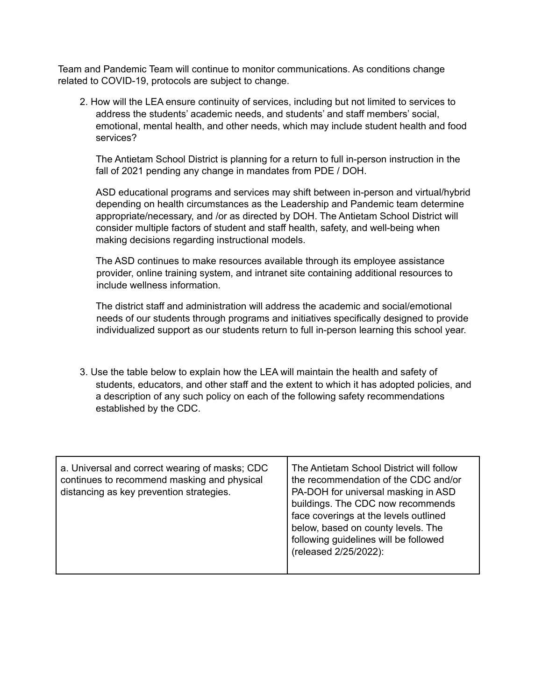Team and Pandemic Team will continue to monitor communications. As conditions change related to COVID-19, protocols are subject to change.

2. How will the LEA ensure continuity of services, including but not limited to services to address the students' academic needs, and students' and staff members' social, emotional, mental health, and other needs, which may include student health and food services?

The Antietam School District is planning for a return to full in-person instruction in the fall of 2021 pending any change in mandates from PDE / DOH.

ASD educational programs and services may shift between in-person and virtual/hybrid depending on health circumstances as the Leadership and Pandemic team determine appropriate/necessary, and /or as directed by DOH. The Antietam School District will consider multiple factors of student and staff health, safety, and well-being when making decisions regarding instructional models.

The ASD continues to make resources available through its employee assistance provider, online training system, and intranet site containing additional resources to include wellness information*.*

The district staff and administration will address the academic and social/emotional needs of our students through programs and initiatives specifically designed to provide individualized support as our students return to full in-person learning this school year.

3. Use the table below to explain how the LEA will maintain the health and safety of students, educators, and other staff and the extent to which it has adopted policies, and a description of any such policy on each of the following safety recommendations established by the CDC.

| a. Universal and correct wearing of masks; CDC<br>continues to recommend masking and physical<br>distancing as key prevention strategies. | The Antietam School District will follow<br>the recommendation of the CDC and/or<br>PA-DOH for universal masking in ASD<br>buildings. The CDC now recommends<br>face coverings at the levels outlined<br>below, based on county levels. The<br>following guidelines will be followed<br>(released 2/25/2022): |
|-------------------------------------------------------------------------------------------------------------------------------------------|---------------------------------------------------------------------------------------------------------------------------------------------------------------------------------------------------------------------------------------------------------------------------------------------------------------|
|-------------------------------------------------------------------------------------------------------------------------------------------|---------------------------------------------------------------------------------------------------------------------------------------------------------------------------------------------------------------------------------------------------------------------------------------------------------------|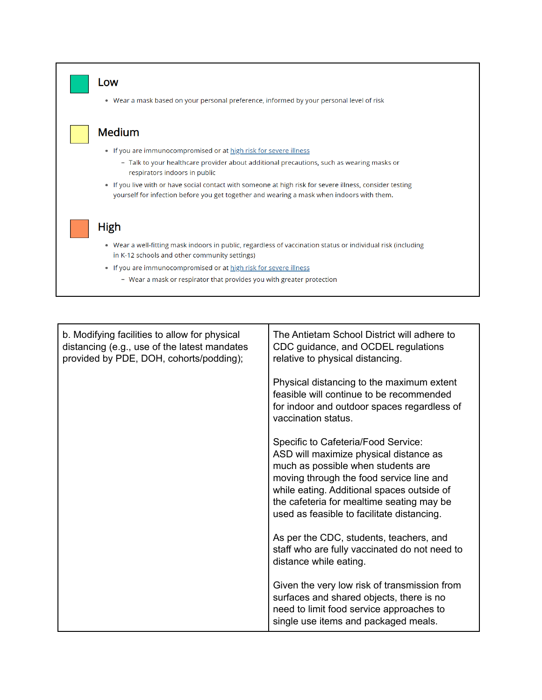

| b. Modifying facilities to allow for physical<br>distancing (e.g., use of the latest mandates<br>provided by PDE, DOH, cohorts/podding); | The Antietam School District will adhere to<br>CDC guidance, and OCDEL regulations<br>relative to physical distancing.                                                                                                                                                                                   |
|------------------------------------------------------------------------------------------------------------------------------------------|----------------------------------------------------------------------------------------------------------------------------------------------------------------------------------------------------------------------------------------------------------------------------------------------------------|
|                                                                                                                                          | Physical distancing to the maximum extent<br>feasible will continue to be recommended<br>for indoor and outdoor spaces regardless of<br>vaccination status.                                                                                                                                              |
|                                                                                                                                          | Specific to Cafeteria/Food Service:<br>ASD will maximize physical distance as<br>much as possible when students are<br>moving through the food service line and<br>while eating. Additional spaces outside of<br>the cafeteria for mealtime seating may be<br>used as feasible to facilitate distancing. |
|                                                                                                                                          | As per the CDC, students, teachers, and<br>staff who are fully vaccinated do not need to<br>distance while eating.                                                                                                                                                                                       |
|                                                                                                                                          | Given the very low risk of transmission from<br>surfaces and shared objects, there is no<br>need to limit food service approaches to<br>single use items and packaged meals.                                                                                                                             |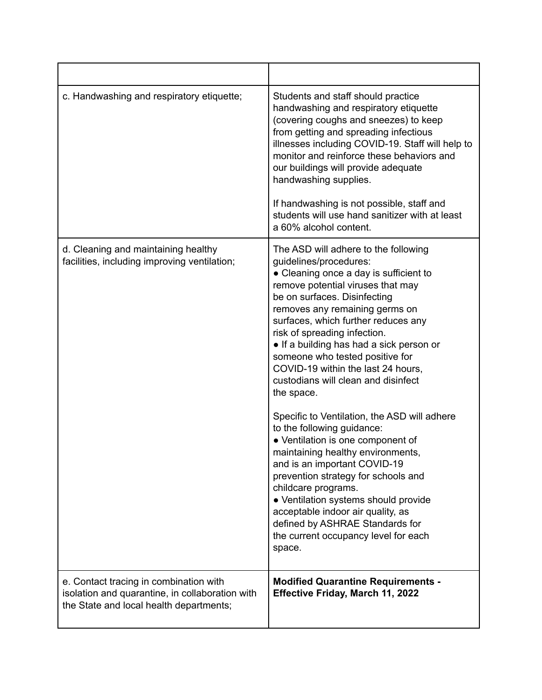| c. Handwashing and respiratory etiquette;                                                                                            | Students and staff should practice<br>handwashing and respiratory etiquette<br>(covering coughs and sneezes) to keep<br>from getting and spreading infectious<br>illnesses including COVID-19. Staff will help to<br>monitor and reinforce these behaviors and<br>our buildings will provide adequate<br>handwashing supplies.<br>If handwashing is not possible, staff and<br>students will use hand sanitizer with at least<br>a 60% alcohol content.                                                                                                                                                                                                                                                                                                                                                                                                                                  |
|--------------------------------------------------------------------------------------------------------------------------------------|------------------------------------------------------------------------------------------------------------------------------------------------------------------------------------------------------------------------------------------------------------------------------------------------------------------------------------------------------------------------------------------------------------------------------------------------------------------------------------------------------------------------------------------------------------------------------------------------------------------------------------------------------------------------------------------------------------------------------------------------------------------------------------------------------------------------------------------------------------------------------------------|
| d. Cleaning and maintaining healthy<br>facilities, including improving ventilation;                                                  | The ASD will adhere to the following<br>guidelines/procedures:<br>• Cleaning once a day is sufficient to<br>remove potential viruses that may<br>be on surfaces. Disinfecting<br>removes any remaining germs on<br>surfaces, which further reduces any<br>risk of spreading infection.<br>• If a building has had a sick person or<br>someone who tested positive for<br>COVID-19 within the last 24 hours,<br>custodians will clean and disinfect<br>the space.<br>Specific to Ventilation, the ASD will adhere<br>to the following guidance:<br>• Ventilation is one component of<br>maintaining healthy environments,<br>and is an important COVID-19<br>prevention strategy for schools and<br>childcare programs.<br>• Ventilation systems should provide<br>acceptable indoor air quality, as<br>defined by ASHRAE Standards for<br>the current occupancy level for each<br>space. |
| e. Contact tracing in combination with<br>isolation and quarantine, in collaboration with<br>the State and local health departments; | <b>Modified Quarantine Requirements -</b><br><b>Effective Friday, March 11, 2022</b>                                                                                                                                                                                                                                                                                                                                                                                                                                                                                                                                                                                                                                                                                                                                                                                                     |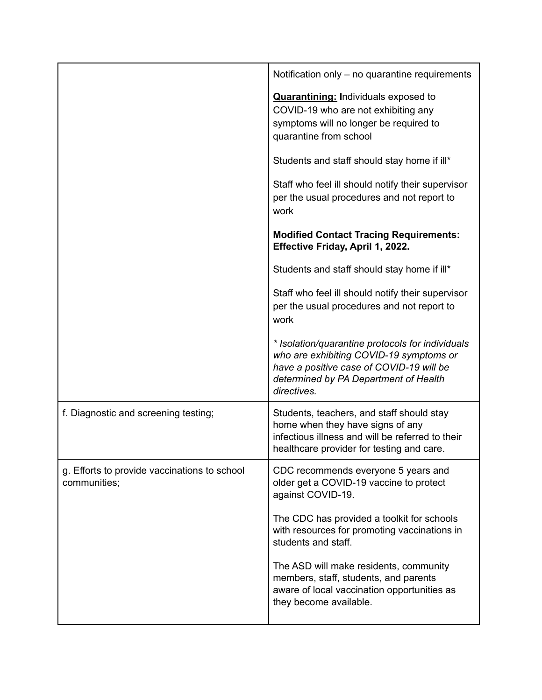|                                                              | Notification only – no quarantine requirements                                                                                                                                                  |
|--------------------------------------------------------------|-------------------------------------------------------------------------------------------------------------------------------------------------------------------------------------------------|
|                                                              | <b>Quarantining:</b> Individuals exposed to<br>COVID-19 who are not exhibiting any<br>symptoms will no longer be required to<br>quarantine from school                                          |
|                                                              | Students and staff should stay home if ill*                                                                                                                                                     |
|                                                              | Staff who feel ill should notify their supervisor<br>per the usual procedures and not report to<br>work                                                                                         |
|                                                              | <b>Modified Contact Tracing Requirements:</b><br>Effective Friday, April 1, 2022.                                                                                                               |
|                                                              | Students and staff should stay home if ill*                                                                                                                                                     |
|                                                              | Staff who feel ill should notify their supervisor<br>per the usual procedures and not report to<br>work                                                                                         |
|                                                              | * Isolation/quarantine protocols for individuals<br>who are exhibiting COVID-19 symptoms or<br>have a positive case of COVID-19 will be<br>determined by PA Department of Health<br>directives. |
| f. Diagnostic and screening testing;                         | Students, teachers, and staff should stay<br>home when they have signs of any<br>infectious illness and will be referred to their<br>healthcare provider for testing and care.                  |
| g. Efforts to provide vaccinations to school<br>communities; | CDC recommends everyone 5 years and<br>older get a COVID-19 vaccine to protect<br>against COVID-19.                                                                                             |
|                                                              | The CDC has provided a toolkit for schools<br>with resources for promoting vaccinations in<br>students and staff.                                                                               |
|                                                              | The ASD will make residents, community<br>members, staff, students, and parents<br>aware of local vaccination opportunities as<br>they become available.                                        |
|                                                              |                                                                                                                                                                                                 |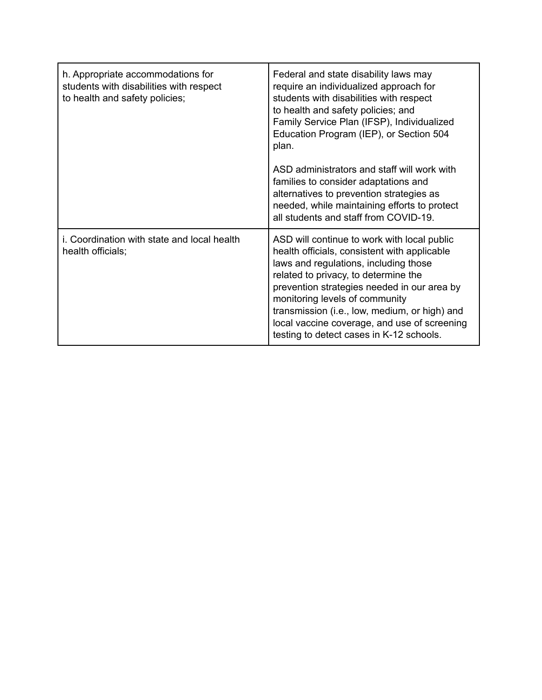| h. Appropriate accommodations for<br>students with disabilities with respect<br>to health and safety policies; | Federal and state disability laws may<br>require an individualized approach for<br>students with disabilities with respect<br>to health and safety policies; and<br>Family Service Plan (IFSP), Individualized<br>Education Program (IEP), or Section 504<br>plan.                                                                                                                                         |
|----------------------------------------------------------------------------------------------------------------|------------------------------------------------------------------------------------------------------------------------------------------------------------------------------------------------------------------------------------------------------------------------------------------------------------------------------------------------------------------------------------------------------------|
|                                                                                                                | ASD administrators and staff will work with<br>families to consider adaptations and<br>alternatives to prevention strategies as<br>needed, while maintaining efforts to protect<br>all students and staff from COVID-19.                                                                                                                                                                                   |
| i. Coordination with state and local health<br>health officials;                                               | ASD will continue to work with local public<br>health officials, consistent with applicable<br>laws and regulations, including those<br>related to privacy, to determine the<br>prevention strategies needed in our area by<br>monitoring levels of community<br>transmission (i.e., low, medium, or high) and<br>local vaccine coverage, and use of screening<br>testing to detect cases in K-12 schools. |